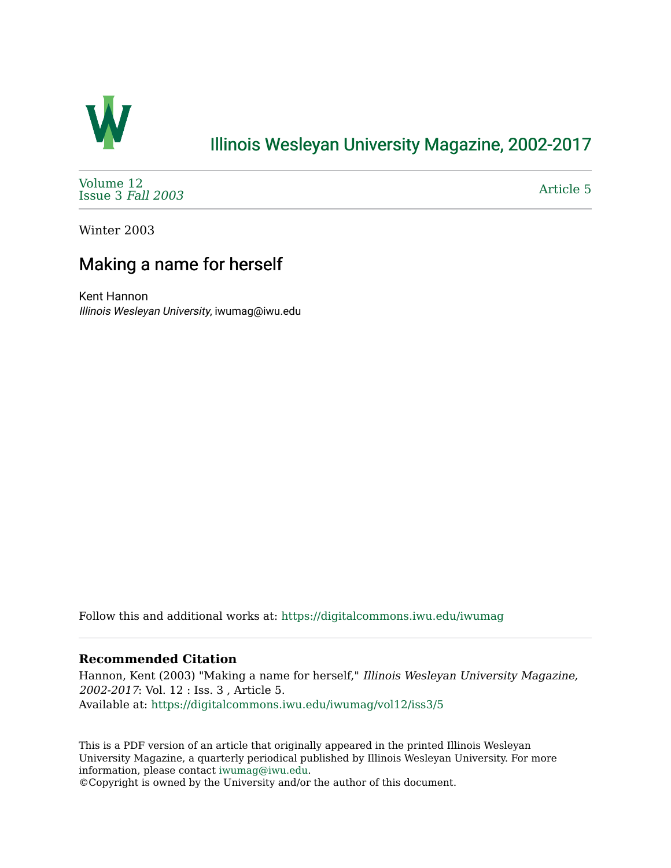

## [Illinois Wesleyan University Magazine, 2002-2017](https://digitalcommons.iwu.edu/iwumag)

[Volume 12](https://digitalcommons.iwu.edu/iwumag/vol12)  [Issue 3](https://digitalcommons.iwu.edu/iwumag/vol12/iss3) Fall 2003

[Article 5](https://digitalcommons.iwu.edu/iwumag/vol12/iss3/5) 

Winter 2003

# Making a name for herself

Kent Hannon Illinois Wesleyan University, iwumag@iwu.edu

Follow this and additional works at: [https://digitalcommons.iwu.edu/iwumag](https://digitalcommons.iwu.edu/iwumag?utm_source=digitalcommons.iwu.edu%2Fiwumag%2Fvol12%2Fiss3%2F5&utm_medium=PDF&utm_campaign=PDFCoverPages) 

#### **Recommended Citation**

Hannon, Kent (2003) "Making a name for herself," Illinois Wesleyan University Magazine, 2002-2017: Vol. 12 : Iss. 3 , Article 5. Available at: [https://digitalcommons.iwu.edu/iwumag/vol12/iss3/5](https://digitalcommons.iwu.edu/iwumag/vol12/iss3/5?utm_source=digitalcommons.iwu.edu%2Fiwumag%2Fvol12%2Fiss3%2F5&utm_medium=PDF&utm_campaign=PDFCoverPages)

This is a PDF version of an article that originally appeared in the printed Illinois Wesleyan University Magazine, a quarterly periodical published by Illinois Wesleyan University. For more information, please contact [iwumag@iwu.edu](mailto:iwumag@iwu.edu).

©Copyright is owned by the University and/or the author of this document.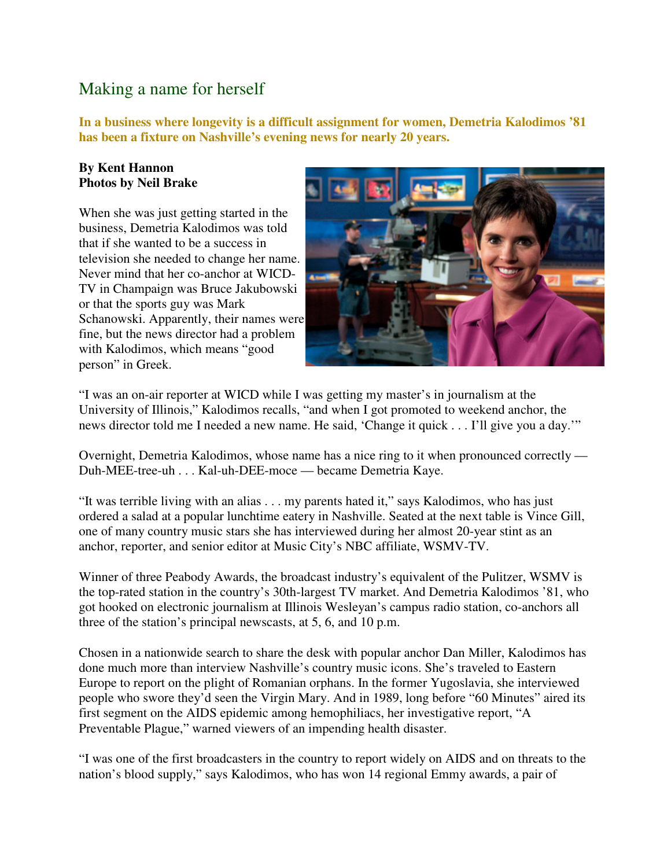### Making a name for herself

**In a business where longevity is a difficult assignment for women, Demetria Kalodimos '81 has been a fixture on Nashville's evening news for nearly 20 years.** 

### **By Kent Hannon Photos by Neil Brake**

When she was just getting started in the business, Demetria Kalodimos was told that if she wanted to be a success in television she needed to change her name. Never mind that her co-anchor at WICD-TV in Champaign was Bruce Jakubowski or that the sports guy was Mark Schanowski. Apparently, their names were fine, but the news director had a problem with Kalodimos, which means "good person" in Greek.



"I was an on-air reporter at WICD while I was getting my master's in journalism at the University of Illinois," Kalodimos recalls, "and when I got promoted to weekend anchor, the news director told me I needed a new name. He said, 'Change it quick . . . I'll give you a day.'"

Overnight, Demetria Kalodimos, whose name has a nice ring to it when pronounced correctly — Duh-MEE-tree-uh . . . Kal-uh-DEE-moce — became Demetria Kaye.

"It was terrible living with an alias . . . my parents hated it," says Kalodimos, who has just ordered a salad at a popular lunchtime eatery in Nashville. Seated at the next table is Vince Gill, one of many country music stars she has interviewed during her almost 20-year stint as an anchor, reporter, and senior editor at Music City's NBC affiliate, WSMV-TV.

Winner of three Peabody Awards, the broadcast industry's equivalent of the Pulitzer, WSMV is the top-rated station in the country's 30th-largest TV market. And Demetria Kalodimos '81, who got hooked on electronic journalism at Illinois Wesleyan's campus radio station, co-anchors all three of the station's principal newscasts, at 5, 6, and 10 p.m.

Chosen in a nationwide search to share the desk with popular anchor Dan Miller, Kalodimos has done much more than interview Nashville's country music icons. She's traveled to Eastern Europe to report on the plight of Romanian orphans. In the former Yugoslavia, she interviewed people who swore they'd seen the Virgin Mary. And in 1989, long before "60 Minutes" aired its first segment on the AIDS epidemic among hemophiliacs, her investigative report, "A Preventable Plague," warned viewers of an impending health disaster.

"I was one of the first broadcasters in the country to report widely on AIDS and on threats to the nation's blood supply," says Kalodimos, who has won 14 regional Emmy awards, a pair of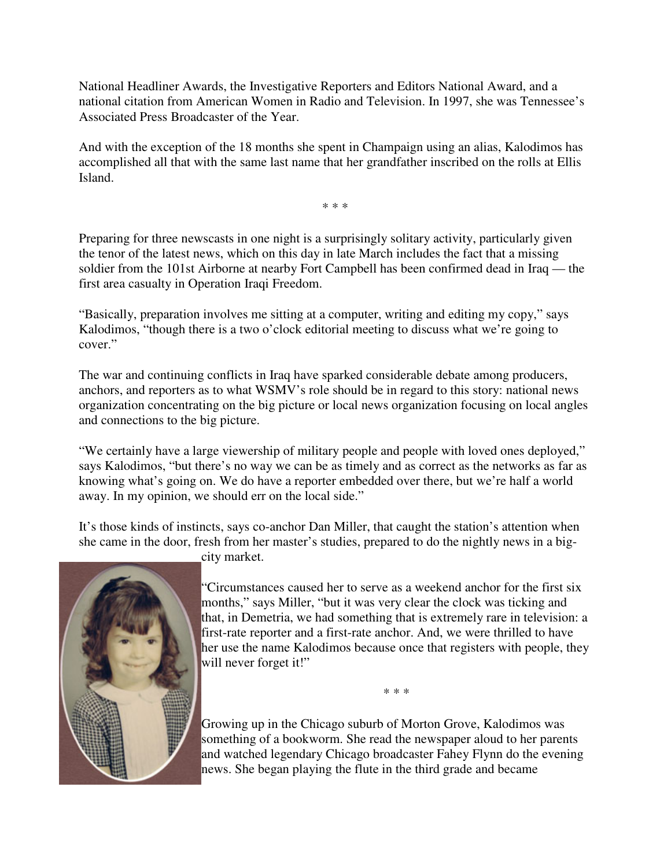National Headliner Awards, the Investigative Reporters and Editors National Award, and a national citation from American Women in Radio and Television. In 1997, she was Tennessee's Associated Press Broadcaster of the Year.

And with the exception of the 18 months she spent in Champaign using an alias, Kalodimos has accomplished all that with the same last name that her grandfather inscribed on the rolls at Ellis Island.

\* \* \*

Preparing for three newscasts in one night is a surprisingly solitary activity, particularly given the tenor of the latest news, which on this day in late March includes the fact that a missing soldier from the 101st Airborne at nearby Fort Campbell has been confirmed dead in Iraq — the first area casualty in Operation Iraqi Freedom.

"Basically, preparation involves me sitting at a computer, writing and editing my copy," says Kalodimos, "though there is a two o'clock editorial meeting to discuss what we're going to cover."

The war and continuing conflicts in Iraq have sparked considerable debate among producers, anchors, and reporters as to what WSMV's role should be in regard to this story: national news organization concentrating on the big picture or local news organization focusing on local angles and connections to the big picture.

"We certainly have a large viewership of military people and people with loved ones deployed," says Kalodimos, "but there's no way we can be as timely and as correct as the networks as far as knowing what's going on. We do have a reporter embedded over there, but we're half a world away. In my opinion, we should err on the local side."

It's those kinds of instincts, says co-anchor Dan Miller, that caught the station's attention when she came in the door, fresh from her master's studies, prepared to do the nightly news in a big-



city market.

"Circumstances caused her to serve as a weekend anchor for the first six months," says Miller, "but it was very clear the clock was ticking and that, in Demetria, we had something that is extremely rare in television: a first-rate reporter and a first-rate anchor. And, we were thrilled to have her use the name Kalodimos because once that registers with people, they will never forget it!"

\* \* \*

Growing up in the Chicago suburb of Morton Grove, Kalodimos was something of a bookworm. She read the newspaper aloud to her parents and watched legendary Chicago broadcaster Fahey Flynn do the evening news. She began playing the flute in the third grade and became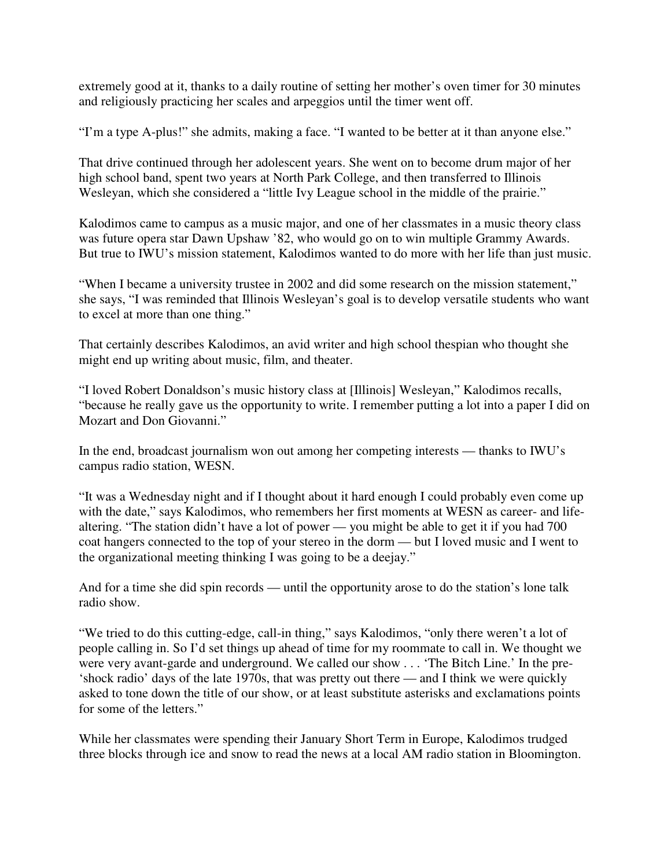extremely good at it, thanks to a daily routine of setting her mother's oven timer for 30 minutes and religiously practicing her scales and arpeggios until the timer went off.

"I'm a type A-plus!" she admits, making a face. "I wanted to be better at it than anyone else."

That drive continued through her adolescent years. She went on to become drum major of her high school band, spent two years at North Park College, and then transferred to Illinois Wesleyan, which she considered a "little Ivy League school in the middle of the prairie."

Kalodimos came to campus as a music major, and one of her classmates in a music theory class was future opera star Dawn Upshaw '82, who would go on to win multiple Grammy Awards. But true to IWU's mission statement, Kalodimos wanted to do more with her life than just music.

"When I became a university trustee in 2002 and did some research on the mission statement," she says, "I was reminded that Illinois Wesleyan's goal is to develop versatile students who want to excel at more than one thing."

That certainly describes Kalodimos, an avid writer and high school thespian who thought she might end up writing about music, film, and theater.

"I loved Robert Donaldson's music history class at [Illinois] Wesleyan," Kalodimos recalls, "because he really gave us the opportunity to write. I remember putting a lot into a paper I did on Mozart and Don Giovanni."

In the end, broadcast journalism won out among her competing interests — thanks to IWU's campus radio station, WESN.

"It was a Wednesday night and if I thought about it hard enough I could probably even come up with the date," says Kalodimos, who remembers her first moments at WESN as career- and lifealtering. "The station didn't have a lot of power — you might be able to get it if you had 700 coat hangers connected to the top of your stereo in the dorm — but I loved music and I went to the organizational meeting thinking I was going to be a deejay."

And for a time she did spin records — until the opportunity arose to do the station's lone talk radio show.

"We tried to do this cutting-edge, call-in thing," says Kalodimos, "only there weren't a lot of people calling in. So I'd set things up ahead of time for my roommate to call in. We thought we were very avant-garde and underground. We called our show . . . 'The Bitch Line.' In the pre- 'shock radio' days of the late 1970s, that was pretty out there — and I think we were quickly asked to tone down the title of our show, or at least substitute asterisks and exclamations points for some of the letters."

While her classmates were spending their January Short Term in Europe, Kalodimos trudged three blocks through ice and snow to read the news at a local AM radio station in Bloomington.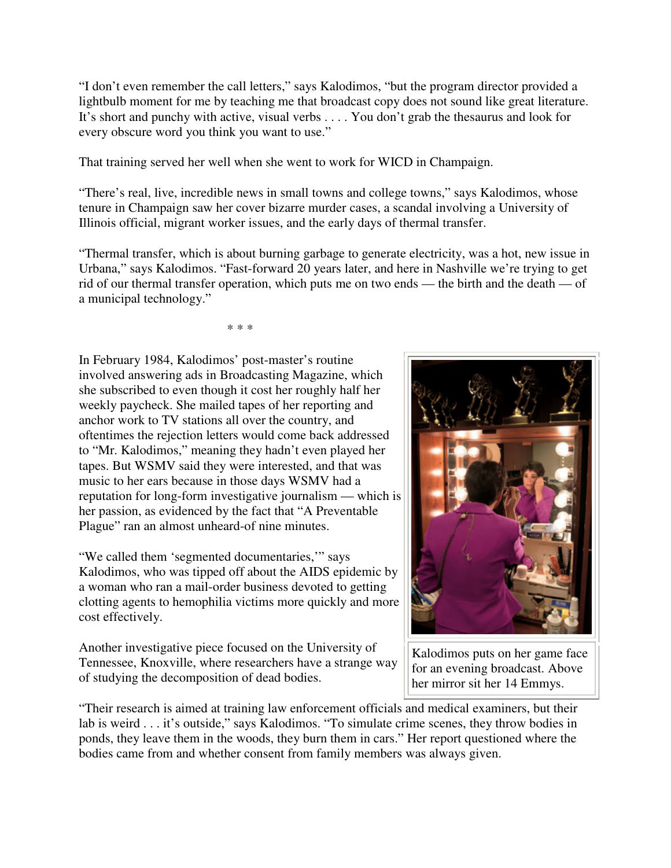"I don't even remember the call letters," says Kalodimos, "but the program director provided a lightbulb moment for me by teaching me that broadcast copy does not sound like great literature. It's short and punchy with active, visual verbs . . . . You don't grab the thesaurus and look for every obscure word you think you want to use."

That training served her well when she went to work for WICD in Champaign.

"There's real, live, incredible news in small towns and college towns," says Kalodimos, whose tenure in Champaign saw her cover bizarre murder cases, a scandal involving a University of Illinois official, migrant worker issues, and the early days of thermal transfer.

"Thermal transfer, which is about burning garbage to generate electricity, was a hot, new issue in Urbana," says Kalodimos. "Fast-forward 20 years later, and here in Nashville we're trying to get rid of our thermal transfer operation, which puts me on two ends — the birth and the death — of a municipal technology."

\* \* \*

In February 1984, Kalodimos' post-master's routine involved answering ads in Broadcasting Magazine, which she subscribed to even though it cost her roughly half her weekly paycheck. She mailed tapes of her reporting and anchor work to TV stations all over the country, and oftentimes the rejection letters would come back addressed to "Mr. Kalodimos," meaning they hadn't even played her tapes. But WSMV said they were interested, and that was music to her ears because in those days WSMV had a reputation for long-form investigative journalism — which is her passion, as evidenced by the fact that "A Preventable Plague" ran an almost unheard-of nine minutes.

"We called them 'segmented documentaries,'" says Kalodimos, who was tipped off about the AIDS epidemic by a woman who ran a mail-order business devoted to getting clotting agents to hemophilia victims more quickly and more cost effectively.

Another investigative piece focused on the University of Tennessee, Knoxville, where researchers have a strange way of studying the decomposition of dead bodies.



Kalodimos puts on her game face for an evening broadcast. Above her mirror sit her 14 Emmys.

"Their research is aimed at training law enforcement officials and medical examiners, but their lab is weird . . . it's outside," says Kalodimos. "To simulate crime scenes, they throw bodies in ponds, they leave them in the woods, they burn them in cars." Her report questioned where the bodies came from and whether consent from family members was always given.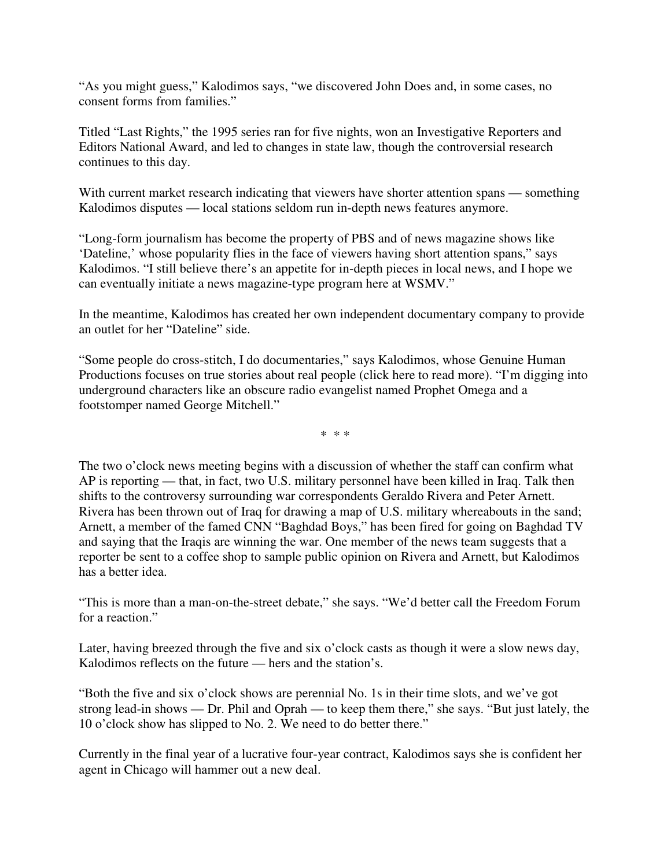"As you might guess," Kalodimos says, "we discovered John Does and, in some cases, no consent forms from families."

Titled "Last Rights," the 1995 series ran for five nights, won an Investigative Reporters and Editors National Award, and led to changes in state law, though the controversial research continues to this day.

With current market research indicating that viewers have shorter attention spans — something Kalodimos disputes — local stations seldom run in-depth news features anymore.

"Long-form journalism has become the property of PBS and of news magazine shows like 'Dateline,' whose popularity flies in the face of viewers having short attention spans," says Kalodimos. "I still believe there's an appetite for in-depth pieces in local news, and I hope we can eventually initiate a news magazine-type program here at WSMV."

In the meantime, Kalodimos has created her own independent documentary company to provide an outlet for her "Dateline" side.

"Some people do cross-stitch, I do documentaries," says Kalodimos, whose Genuine Human Productions focuses on true stories about real people (click here to read more). "I'm digging into underground characters like an obscure radio evangelist named Prophet Omega and a footstomper named George Mitchell."

\* \* \*

The two o'clock news meeting begins with a discussion of whether the staff can confirm what AP is reporting — that, in fact, two U.S. military personnel have been killed in Iraq. Talk then shifts to the controversy surrounding war correspondents Geraldo Rivera and Peter Arnett. Rivera has been thrown out of Iraq for drawing a map of U.S. military whereabouts in the sand; Arnett, a member of the famed CNN "Baghdad Boys," has been fired for going on Baghdad TV and saying that the Iraqis are winning the war. One member of the news team suggests that a reporter be sent to a coffee shop to sample public opinion on Rivera and Arnett, but Kalodimos has a better idea.

"This is more than a man-on-the-street debate," she says. "We'd better call the Freedom Forum for a reaction."

Later, having breezed through the five and six o'clock casts as though it were a slow news day, Kalodimos reflects on the future — hers and the station's.

"Both the five and six o'clock shows are perennial No. 1s in their time slots, and we've got strong lead-in shows — Dr. Phil and Oprah — to keep them there," she says. "But just lately, the 10 o'clock show has slipped to No. 2. We need to do better there."

Currently in the final year of a lucrative four-year contract, Kalodimos says she is confident her agent in Chicago will hammer out a new deal.